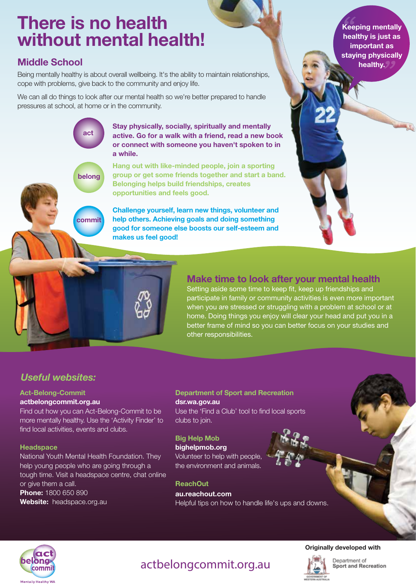# There is no health without mental health!

act

belong

commit

## Middle School

Being mentally healthy is about overall wellbeing. It's the ability to maintain relationships, cope with problems, give back to the community and enjoy life.

We can all do things to look after our mental health so we're better prepared to handle pressures at school, at home or in the community.

> Stay physically, socially, spiritually and mentally active. Go for a walk with a friend, read a new book or connect with someone you haven't spoken to in a while.

Hang out with like-minded people, join a sporting group or get some friends together and start a band. Belonging helps build friendships, creates opportunities and feels good.

Challenge yourself, learn new things, volunteer and help others. Achieving goals and doing something good for someone else boosts our self-esteem and makes us feel good!

Keeping mentally healthy is just as important as staying physically healthy.

### Make time to look after your mental health

Setting aside some time to keep fit, keep up friendships and participate in family or community activities is even more important when you are stressed or struggling with a problem at school or at home. Doing things you enjoy will clear your head and put you in a better frame of mind so you can better focus on your studies and other responsibilities.

## *Useful websites:*

#### Act-Belong-Commit

#### actbelongcommit.org.au

Find out how you can Act-Belong-Commit to be more mentally healthy. Use the 'Activity Finder' to find local activities, events and clubs.

#### **Headspace**

National Youth Mental Health Foundation. They help young people who are going through a tough time. Visit a headspace centre, chat online or give them a call. Phone: 1800 650 890 Website: headspace.org.au

#### Department of Sport and Recreation dsr.wa.gov.au

Use the 'Find a Club' tool to find local sports clubs to join.

#### Big Help Mob bighelpmob.org

Volunteer to help with people, the environment and animals.

#### **ReachOut**

au.reachout.com Helpful tips on how to handle life's ups and downs.



## actbelongcommit.org.au



### Originally developed with